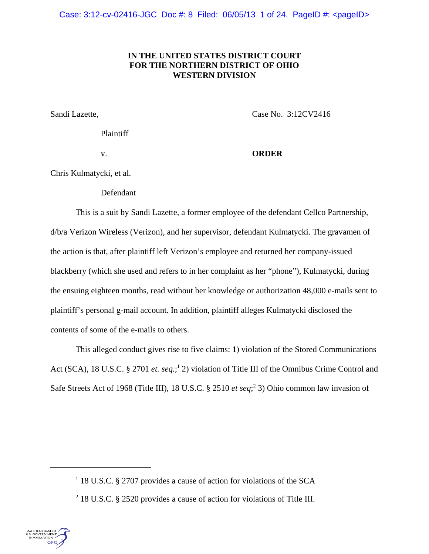Case: 3:12-cv-02416-JGC Doc #: 8 Filed: 06/05/13 1 of 24. PageID #: <pageID>

# **IN THE UNITED STATES DISTRICT COURT FOR THE NORTHERN DISTRICT OF OHIO WESTERN DIVISION**

Sandi Lazette, Case No. 3:12CV2416

Plaintiff

v. **ORDER**

Chris Kulmatycki, et al.

Defendant

This is a suit by Sandi Lazette, a former employee of the defendant Cellco Partnership, d/b/a Verizon Wireless (Verizon), and her supervisor, defendant Kulmatycki. The gravamen of the action is that, after plaintiff left Verizon's employee and returned her company-issued blackberry (which she used and refers to in her complaint as her "phone"), Kulmatycki, during the ensuing eighteen months, read without her knowledge or authorization 48,000 e-mails sent to plaintiff's personal g-mail account. In addition, plaintiff alleges Kulmatycki disclosed the contents of some of the e-mails to others.

This alleged conduct gives rise to five claims: 1) violation of the Stored Communications Act (SCA), 18 U.S.C. § 2701 *et. seq.*;<sup>1</sup> 2) violation of Title III of the Omnibus Crime Control and Safe Streets Act of 1968 (Title III), 18 U.S.C. § 2510 *et seq*;<sup>2</sup> 3) Ohio common law invasion of

<sup>&</sup>lt;sup>2</sup> 18 U.S.C. § 2520 provides a cause of action for violations of Title III.



<sup>&</sup>lt;sup>1</sup> 18 U.S.C. § 2707 provides a cause of action for violations of the SCA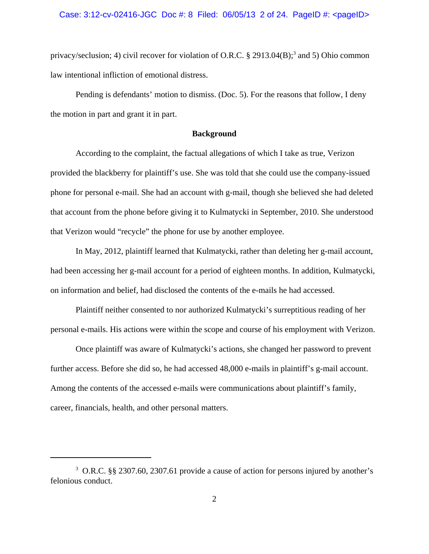privacy/seclusion; 4) civil recover for violation of O.R.C. § 2913.04(B);<sup>3</sup> and 5) Ohio common law intentional infliction of emotional distress.

Pending is defendants' motion to dismiss. (Doc. 5). For the reasons that follow, I deny the motion in part and grant it in part.

## **Background**

According to the complaint, the factual allegations of which I take as true, Verizon provided the blackberry for plaintiff's use. She was told that she could use the company-issued phone for personal e-mail. She had an account with g-mail, though she believed she had deleted that account from the phone before giving it to Kulmatycki in September, 2010. She understood that Verizon would "recycle" the phone for use by another employee.

In May, 2012, plaintiff learned that Kulmatycki, rather than deleting her g-mail account, had been accessing her g-mail account for a period of eighteen months. In addition, Kulmatycki, on information and belief, had disclosed the contents of the e-mails he had accessed.

Plaintiff neither consented to nor authorized Kulmatycki's surreptitious reading of her personal e-mails. His actions were within the scope and course of his employment with Verizon.

Once plaintiff was aware of Kulmatycki's actions, she changed her password to prevent further access. Before she did so, he had accessed 48,000 e-mails in plaintiff's g-mail account. Among the contents of the accessed e-mails were communications about plaintiff's family, career, financials, health, and other personal matters.

<sup>&</sup>lt;sup>3</sup> O.R.C. §§ 2307.60, 2307.61 provide a cause of action for persons injured by another's felonious conduct.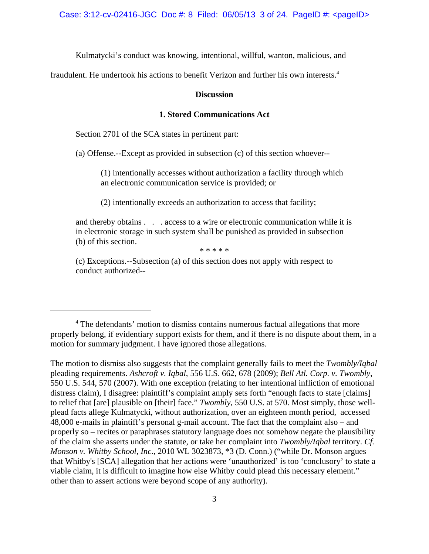Kulmatycki's conduct was knowing, intentional, willful, wanton, malicious, and

fraudulent. He undertook his actions to benefit Verizon and further his own interests.<sup>4</sup>

### **Discussion**

## **1. Stored Communications Act**

Section 2701 of the SCA states in pertinent part:

(a) Offense.--Except as provided in subsection (c) of this section whoever--

(1) intentionally accesses without authorization a facility through which an electronic communication service is provided; or

(2) intentionally exceeds an authorization to access that facility;

and thereby obtains . . . access to a wire or electronic communication while it is in electronic storage in such system shall be punished as provided in subsection (b) of this section.

\* \* \* \* \*

(c) Exceptions.--Subsection (a) of this section does not apply with respect to conduct authorized--

<sup>&</sup>lt;sup>4</sup> The defendants' motion to dismiss contains numerous factual allegations that more properly belong, if evidentiary support exists for them, and if there is no dispute about them, in a motion for summary judgment. I have ignored those allegations.

The motion to dismiss also suggests that the complaint generally fails to meet the *Twombly/Iqbal* pleading requirements. *Ashcroft v. Iqbal*, 556 U.S. 662, 678 (2009); *Bell Atl. Corp. v. Twombly*, 550 U.S. 544, 570 (2007). With one exception (relating to her intentional infliction of emotional distress claim), I disagree: plaintiff's complaint amply sets forth "enough facts to state [claims] to relief that [are] plausible on [their] face." *Twombly*, 550 U.S. at 570. Most simply, those wellplead facts allege Kulmatycki, without authorization, over an eighteen month period, accessed 48,000 e-mails in plaintiff's personal g-mail account. The fact that the complaint also – and properly so – recites or paraphrases statutory language does not somehow negate the plausibility of the claim she asserts under the statute, or take her complaint into *Twombly/Iqbal* territory. *Cf. Monson v. Whitby School, Inc*., 2010 WL 3023873, \*3 (D. Conn.) ("while Dr. Monson argues that Whitby's [SCA] allegation that her actions were 'unauthorized' is too 'conclusory' to state a viable claim, it is difficult to imagine how else Whitby could plead this necessary element." other than to assert actions were beyond scope of any authority).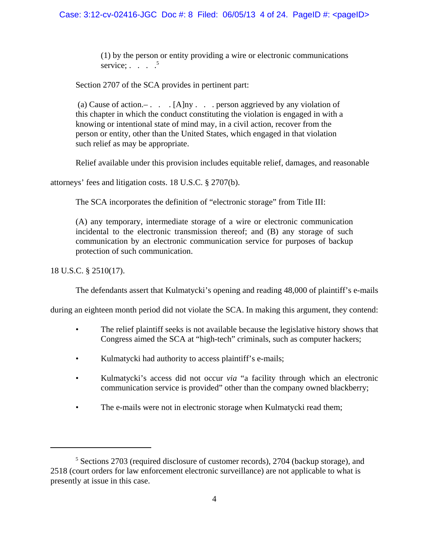(1) by the person or entity providing a wire or electronic communications service;  $\therefore$  . . . . 5

Section 2707 of the SCA provides in pertinent part:

(a) Cause of action.– . . .  $[A]$ ny . . . person aggrieved by any violation of this chapter in which the conduct constituting the violation is engaged in with a knowing or intentional state of mind may, in a civil action, recover from the person or entity, other than the United States, which engaged in that violation such relief as may be appropriate.

Relief available under this provision includes equitable relief, damages, and reasonable

attorneys' fees and litigation costs. 18 U.S.C. § 2707(b).

The SCA incorporates the definition of "electronic storage" from Title III:

(A) any temporary, intermediate storage of a wire or electronic communication incidental to the electronic transmission thereof; and (B) any storage of such communication by an electronic communication service for purposes of backup protection of such communication.

18 U.S.C. § 2510(17).

The defendants assert that Kulmatycki's opening and reading 48,000 of plaintiff's e-mails

during an eighteen month period did not violate the SCA. In making this argument, they contend:

- The relief plaintiff seeks is not available because the legislative history shows that Congress aimed the SCA at "high-tech" criminals, such as computer hackers;
- Kulmatycki had authority to access plaintiff's e-mails;
- Kulmatycki's access did not occur *via* "a facility through which an electronic communication service is provided" other than the company owned blackberry;
- The e-mails were not in electronic storage when Kulmatycki read them;

<sup>&</sup>lt;sup>5</sup> Sections 2703 (required disclosure of customer records), 2704 (backup storage), and 2518 (court orders for law enforcement electronic surveillance) are not applicable to what is presently at issue in this case.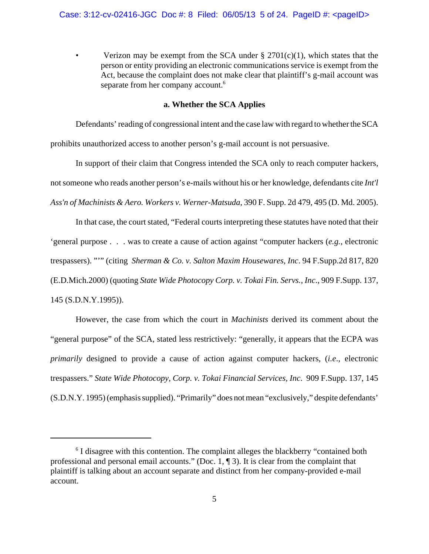Verizon may be exempt from the SCA under  $\S 2701(c)(1)$ , which states that the person or entity providing an electronic communications service is exempt from the Act, because the complaint does not make clear that plaintiff's g-mail account was separate from her company account.<sup>6</sup>

# **a. Whether the SCA Applies**

Defendants' reading of congressional intent and the case law with regard to whether the SCA prohibits unauthorized access to another person's g-mail account is not persuasive.

In support of their claim that Congress intended the SCA only to reach computer hackers, not someone who reads another person's e-mails without his or her knowledge, defendants cite *Int'l Ass'n of Machinists & Aero. Workers v. Werner-Matsuda*, 390 F. Supp. 2d 479, 495 (D. Md. 2005).

In that case, the court stated, "Federal courts interpreting these statutes have noted that their 'general purpose . . . was to create a cause of action against "computer hackers (*e.g.,* electronic trespassers). "'" (citing *Sherman & Co. v. Salton Maxim Housewares, Inc*. 94 F.Supp.2d 817, 820 (E.D.Mich.2000) (quoting *State Wide Photocopy Corp. v. Tokai Fin. Servs., Inc*., 909 F.Supp. 137, 145 (S.D.N.Y.1995)).

However, the case from which the court in *Machinists* derived its comment about the "general purpose" of the SCA, stated less restrictively: "generally, it appears that the ECPA was *primarily* designed to provide a cause of action against computer hackers, (*i.e*., electronic trespassers." *State Wide Photocopy, Corp. v. Tokai Financial Services, Inc*. 909 F.Supp. 137, 145 (S.D.N.Y. 1995) (emphasis supplied). "Primarily" does not mean "exclusively," despite defendants'

<sup>&</sup>lt;sup>6</sup> I disagree with this contention. The complaint alleges the blackberry "contained both professional and personal email accounts." (Doc. 1, ¶ 3). It is clear from the complaint that plaintiff is talking about an account separate and distinct from her company-provided e-mail account.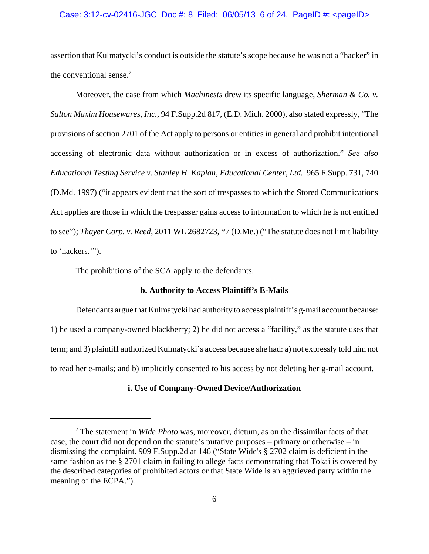#### Case:  $3:12$ -cv-02416-JGC Doc #: 8 Filed:  $06/05/13$  6 of 24. PageID #: <pageID>

assertion that Kulmatycki's conduct is outside the statute's scope because he was not a "hacker" in the conventional sense. $7$ 

Moreover, the case from which *Machinests* drew its specific language, *Sherman & Co. v. Salton Maxim Housewares, Inc.*, 94 F.Supp.2d 817, (E.D. Mich. 2000), also stated expressly, "The provisions of section 2701 of the Act apply to persons or entities in general and prohibit intentional accessing of electronic data without authorization or in excess of authorization." *See also Educational Testing Service v. Stanley H. Kaplan, Educational Center, Ltd.* 965 F.Supp. 731, 740 (D.Md. 1997) ("it appears evident that the sort of trespasses to which the Stored Communications Act applies are those in which the trespasser gains access to information to which he is not entitled to see"); *Thayer Corp. v. Reed*, 2011 WL 2682723, \*7 (D.Me.) ("The statute does not limit liability to 'hackers.'").

The prohibitions of the SCA apply to the defendants.

## **b. Authority to Access Plaintiff's E-Mails**

Defendants argue that Kulmatycki had authority to access plaintiff's g-mail account because: 1) he used a company-owned blackberry; 2) he did not access a "facility," as the statute uses that term; and 3) plaintiff authorized Kulmatycki's access because she had: a) not expressly told him not to read her e-mails; and b) implicitly consented to his access by not deleting her g-mail account.

## **i. Use of Company-Owned Device/Authorization**

<sup>7</sup> The statement in *Wide Photo* was, moreover, dictum, as on the dissimilar facts of that case, the court did not depend on the statute's putative purposes – primary or otherwise – in dismissing the complaint. 909 F.Supp.2d at 146 ("State Wide's § 2702 claim is deficient in the same fashion as the § 2701 claim in failing to allege facts demonstrating that Tokai is covered by the described categories of prohibited actors or that State Wide is an aggrieved party within the meaning of the ECPA.").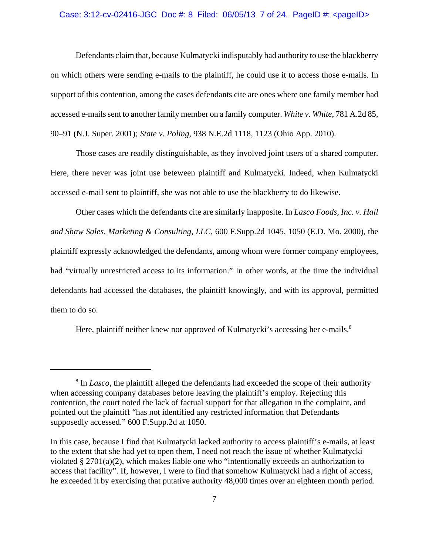#### Case:  $3:12$ -cv-02416-JGC Doc #: 8 Filed:  $06/05/13$  7 of 24. PageID #: <pageID>

Defendants claim that, because Kulmatycki indisputably had authority to use the blackberry on which others were sending e-mails to the plaintiff, he could use it to access those e-mails. In support of this contention, among the cases defendants cite are ones where one family member had accessed e-mails sent to another family member on a family computer. *White v. White*, 781 A.2d 85, 90–91 (N.J. Super. 2001); *State v. Poling*, 938 N.E.2d 1118, 1123 (Ohio App. 2010).

Those cases are readily distinguishable, as they involved joint users of a shared computer. Here, there never was joint use beteween plaintiff and Kulmatycki. Indeed, when Kulmatycki accessed e-mail sent to plaintiff, she was not able to use the blackberry to do likewise.

Other cases which the defendants cite are similarly inapposite. In *Lasco Foods, Inc. v. Hall and Shaw Sales, Marketing & Consulting, LLC*, 600 F.Supp.2d 1045, 1050 (E.D. Mo. 2000), the plaintiff expressly acknowledged the defendants, among whom were former company employees, had "virtually unrestricted access to its information." In other words, at the time the individual defendants had accessed the databases, the plaintiff knowingly, and with its approval, permitted them to do so.

Here, plaintiff neither knew nor approved of Kulmatycki's accessing her e-mails.<sup>8</sup>

<sup>&</sup>lt;sup>8</sup> In *Lasco*, the plaintiff alleged the defendants had exceeded the scope of their authority when accessing company databases before leaving the plaintiff's employ. Rejecting this contention, the court noted the lack of factual support for that allegation in the complaint, and pointed out the plaintiff "has not identified any restricted information that Defendants supposedly accessed." 600 F.Supp.2d at 1050.

In this case, because I find that Kulmatycki lacked authority to access plaintiff's e-mails, at least to the extent that she had yet to open them, I need not reach the issue of whether Kulmatycki violated § 2701(a)(2), which makes liable one who "intentionally exceeds an authorization to access that facility". If, however, I were to find that somehow Kulmatycki had a right of access, he exceeded it by exercising that putative authority 48,000 times over an eighteen month period.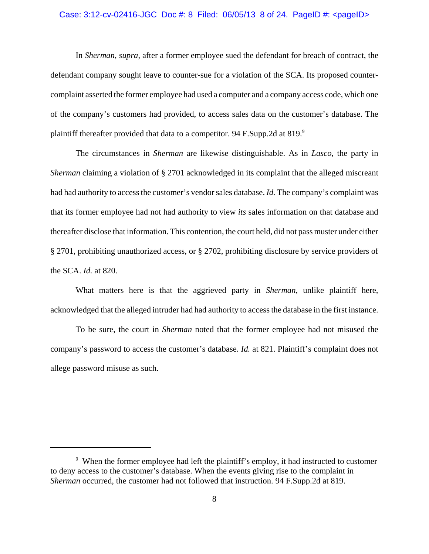## Case: 3:12-cv-02416-JGC Doc #: 8 Filed: 06/05/13 8 of 24. PageID #: <pageID>

In *Sherman, supra*, after a former employee sued the defendant for breach of contract, the defendant company sought leave to counter-sue for a violation of the SCA. Its proposed countercomplaint asserted the former employee had used a computer and a company access code, which one of the company's customers had provided, to access sales data on the customer's database. The plaintiff thereafter provided that data to a competitor. 94 F.Supp.2d at 819.<sup>9</sup>

The circumstances in *Sherman* are likewise distinguishable. As in *Lasco*, the party in *Sherman* claiming a violation of § 2701 acknowledged in its complaint that the alleged miscreant had had authority to access the customer's vendor sales database. *Id.* The company's complaint was that its former employee had not had authority to view *its* sales information on that database and thereafter disclose that information. This contention, the court held, did not pass muster under either § 2701, prohibiting unauthorized access, or § 2702, prohibiting disclosure by service providers of the SCA. *Id.* at 820.

What matters here is that the aggrieved party in *Sherman*, unlike plaintiff here, acknowledged that the alleged intruder had had authority to access the database in the first instance.

To be sure, the court in *Sherman* noted that the former employee had not misused the company's password to access the customer's database. *Id.* at 821. Plaintiff's complaint does not allege password misuse as such.

<sup>&</sup>lt;sup>9</sup> When the former employee had left the plaintiff's employ, it had instructed to customer to deny access to the customer's database. When the events giving rise to the complaint in *Sherman* occurred, the customer had not followed that instruction. 94 F.Supp.2d at 819.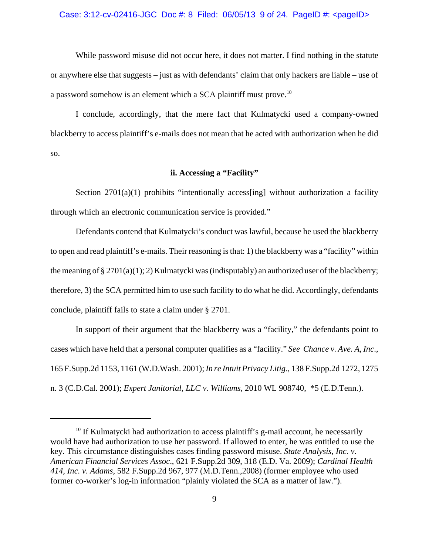#### Case:  $3:12$ -cv-02416-JGC Doc #: 8 Filed:  $06/05/13$  9 of 24. PageID #: <pageID>

While password misuse did not occur here, it does not matter. I find nothing in the statute or anywhere else that suggests – just as with defendants' claim that only hackers are liable – use of a password somehow is an element which a SCA plaintiff must prove.10

I conclude, accordingly, that the mere fact that Kulmatycki used a company-owned blackberry to access plaintiff's e-mails does not mean that he acted with authorization when he did so.

# **ii. Accessing a "Facility"**

Section  $2701(a)(1)$  prohibits "intentionally access[ing] without authorization a facility through which an electronic communication service is provided."

Defendants contend that Kulmatycki's conduct was lawful, because he used the blackberry to open and read plaintiff's e-mails. Their reasoning is that: 1) the blackberry was a "facility" within the meaning of § 2701(a)(1); 2) Kulmatycki was (indisputably) an authorized user of the blackberry; therefore, 3) the SCA permitted him to use such facility to do what he did. Accordingly, defendants conclude, plaintiff fails to state a claim under § 2701.

In support of their argument that the blackberry was a "facility," the defendants point to cases which have held that a personal computer qualifies as a "facility." *See Chance v. Ave. A, Inc*., 165 F.Supp.2d 1153, 1161 (W.D.Wash. 2001); *In re Intuit Privacy Litig*., 138 F.Supp.2d 1272, 1275 n. 3 (C.D.Cal. 2001); *Expert Janitorial, LLC v. Williams*, 2010 WL 908740, \*5 (E.D.Tenn.).

 $10$  If Kulmatycki had authorization to access plaintiff's g-mail account, he necessarily would have had authorization to use her password. If allowed to enter, he was entitled to use the key. This circumstance distinguishes cases finding password misuse. *State Analysis, Inc. v. American Financial Services Assoc*., 621 F.Supp.2d 309, 318 (E.D. Va. 2009); *Cardinal Health 414, Inc. v. Adams*, 582 F.Supp.2d 967, 977 (M.D.Tenn.,2008) (former employee who used former co-worker's log-in information "plainly violated the SCA as a matter of law.").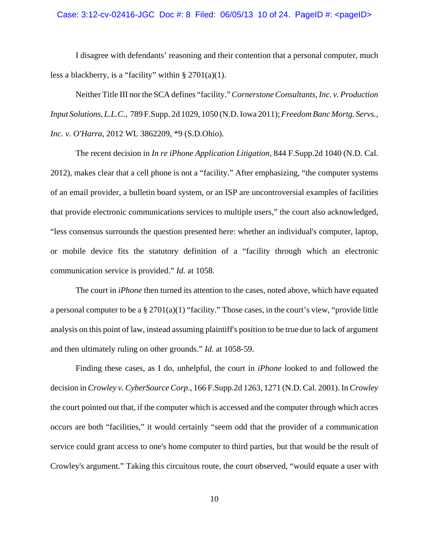# Case: 3:12-cv-02416-JGC Doc #: 8 Filed: 06/05/13 10 of 24. PageID #: <pageID>

I disagree with defendants' reasoning and their contention that a personal computer, much less a blackberry, is a "facility" within  $\S 2701(a)(1)$ .

Neither Title III nor the SCA defines "facility." *Cornerstone Consultants, Inc. v. Production Input Solutions, L.L.C.*, 789 F.Supp. 2d 1029, 1050 (N.D. Iowa 2011); *Freedom Banc Mortg. Servs., Inc. v. O'Harra*, 2012 WL 3862209, \*9 (S.D.Ohio).

The recent decision in *In re iPhone Application Litigation*, 844 F.Supp.2d 1040 (N.D. Cal. 2012), makes clear that a cell phone is not a "facility." After emphasizing, "the computer systems of an email provider, a bulletin board system, or an ISP are uncontroversial examples of facilities that provide electronic communications services to multiple users," the court also acknowledged, "less consensus surrounds the question presented here: whether an individual's computer, laptop, or mobile device fits the statutory definition of a "facility through which an electronic communication service is provided." *Id.* at 1058.

The court in *iPhone* then turned its attention to the cases, noted above, which have equated a personal computer to be a  $\S 2701(a)(1)$  "facility." Those cases, in the court's view, "provide little analysis on this point of law, instead assuming plaintiff's position to be true due to lack of argument and then ultimately ruling on other grounds." *Id*. at 1058-59.

Finding these cases, as I do, unhelpful, the court in *iPhone* looked to and followed the decision in *Crowley v. CyberSource Corp*., 166 F.Supp.2d 1263, 1271 (N.D. Cal. 2001). In *Crowley* the court pointed out that, if the computer which is accessed and the computer through which acces occurs are both "facilities," it would certainly "seem odd that the provider of a communication service could grant access to one's home computer to third parties, but that would be the result of Crowley's argument." Taking this circuitous route, the court observed, "would equate a user with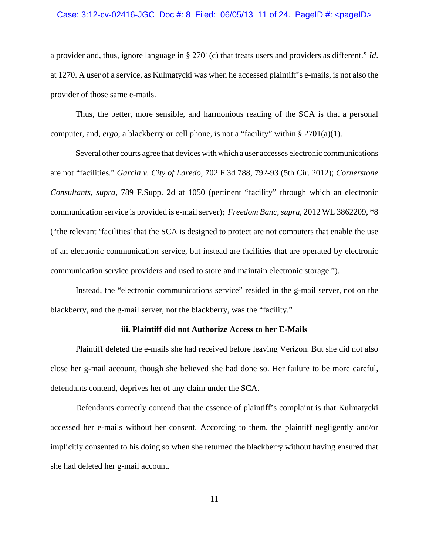## Case: 3:12-cv-02416-JGC Doc #: 8 Filed: 06/05/13 11 of 24. PageID #: <pageID>

a provider and, thus, ignore language in § 2701(c) that treats users and providers as different." *Id*. at 1270. A user of a service, as Kulmatycki was when he accessed plaintiff's e-mails, is not also the provider of those same e-mails.

Thus, the better, more sensible, and harmonious reading of the SCA is that a personal computer, and, *ergo*, a blackberry or cell phone, is not a "facility" within § 2701(a)(1).

Several other courts agree that devices with which a user accesses electronic communications are not "facilities." *Garcia v. City of Laredo*, 702 F.3d 788, 792-93 (5th Cir. 2012); *Cornerstone Consultants, supra*, 789 F.Supp. 2d at 1050 (pertinent "facility" through which an electronic communication service is provided is e-mail server); *Freedom Banc, supra*, 2012 WL 3862209, \*8 ("the relevant 'facilities' that the SCA is designed to protect are not computers that enable the use of an electronic communication service, but instead are facilities that are operated by electronic communication service providers and used to store and maintain electronic storage.").

Instead, the "electronic communications service" resided in the g-mail server, not on the blackberry, and the g-mail server, not the blackberry, was the "facility."

#### **iii. Plaintiff did not Authorize Access to her E-Mails**

Plaintiff deleted the e-mails she had received before leaving Verizon. But she did not also close her g-mail account, though she believed she had done so. Her failure to be more careful, defendants contend, deprives her of any claim under the SCA.

Defendants correctly contend that the essence of plaintiff's complaint is that Kulmatycki accessed her e-mails without her consent. According to them, the plaintiff negligently and/or implicitly consented to his doing so when she returned the blackberry without having ensured that she had deleted her g-mail account.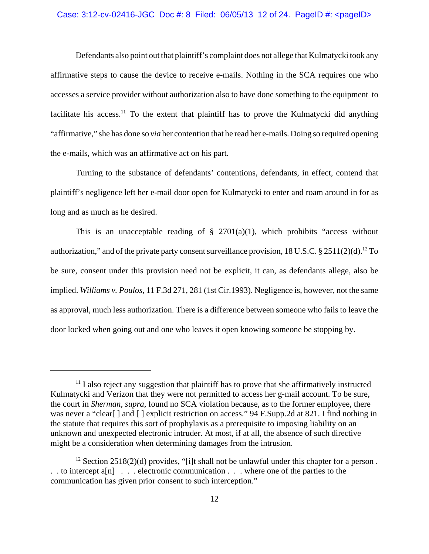### Case: 3:12-cv-02416-JGC Doc #: 8 Filed: 06/05/13 12 of 24. PageID #: <pageID>

Defendants also point out that plaintiff's complaint does not allege that Kulmatycki took any affirmative steps to cause the device to receive e-mails. Nothing in the SCA requires one who accesses a service provider without authorization also to have done something to the equipment to facilitate his access.<sup>11</sup> To the extent that plaintiff has to prove the Kulmatycki did anything "affirmative," she has done so *via* her contention that he read her e-mails. Doing so required opening the e-mails, which was an affirmative act on his part.

Turning to the substance of defendants' contentions, defendants, in effect, contend that plaintiff's negligence left her e-mail door open for Kulmatycki to enter and roam around in for as long and as much as he desired.

This is an unacceptable reading of  $\S$  2701(a)(1), which prohibits "access without authorization," and of the private party consent surveillance provision,  $18$  U.S.C. § 2511(2)(d).<sup>12</sup> To be sure, consent under this provision need not be explicit, it can, as defendants allege, also be implied. *Williams v. Poulos*, 11 F.3d 271, 281 (1st Cir.1993). Negligence is, however, not the same as approval, much less authorization. There is a difference between someone who fails to leave the door locked when going out and one who leaves it open knowing someone be stopping by.

 $<sup>11</sup>$  I also reject any suggestion that plaintiff has to prove that she affirmatively instructed</sup> Kulmatycki and Verizon that they were not permitted to access her g-mail account. To be sure, the court in *Sherman, supra,* found no SCA violation because, as to the former employee, there was never a "clear[ ] and [ ] explicit restriction on access." 94 F.Supp.2d at 821. I find nothing in the statute that requires this sort of prophylaxis as a prerequisite to imposing liability on an unknown and unexpected electronic intruder. At most, if at all, the absence of such directive might be a consideration when determining damages from the intrusion.

<sup>&</sup>lt;sup>12</sup> Section 2518(2)(d) provides, "[i]t shall not be unlawful under this chapter for a person. . . to intercept a[n] . . . electronic communication . . . where one of the parties to the communication has given prior consent to such interception."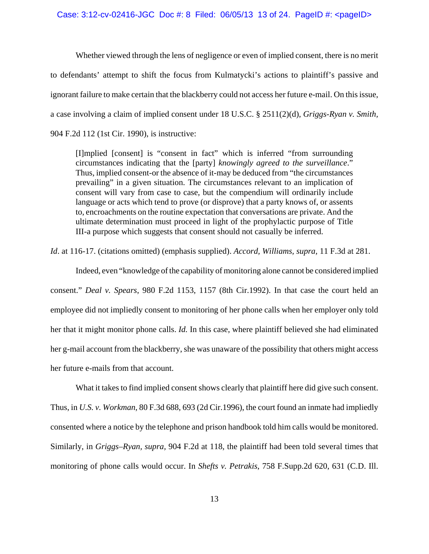#### Case:  $3:12$ -cv-02416-JGC Doc #: 8 Filed: 06/05/13 13 of 24. PageID #: <pageID>

Whether viewed through the lens of negligence or even of implied consent, there is no merit to defendants' attempt to shift the focus from Kulmatycki's actions to plaintiff's passive and ignorant failure to make certain that the blackberry could not access her future e-mail. On this issue, a case involving a claim of implied consent under 18 U.S.C. § 2511(2)(d), *Griggs-Ryan v. Smith,* 904 F.2d 112 (1st Cir. 1990), is instructive:

[I]mplied [consent] is "consent in fact" which is inferred "from surrounding circumstances indicating that the [party] *knowingly agreed to the surveillance*." Thus, implied consent-or the absence of it-may be deduced from "the circumstances prevailing" in a given situation. The circumstances relevant to an implication of consent will vary from case to case, but the compendium will ordinarily include language or acts which tend to prove (or disprove) that a party knows of, or assents to, encroachments on the routine expectation that conversations are private. And the ultimate determination must proceed in light of the prophylactic purpose of Title III-a purpose which suggests that consent should not casually be inferred.

*Id*. at 116-17. (citations omitted) (emphasis supplied). *Accord, Williams, supra,* 11 F.3d at 281.

Indeed, even "knowledge of the capability of monitoring alone cannot be considered implied consent." *Deal v. Spears*, 980 F.2d 1153, 1157 (8th Cir.1992). In that case the court held an employee did not impliedly consent to monitoring of her phone calls when her employer only told her that it might monitor phone calls. *Id.* In this case, where plaintiff believed she had eliminated her g-mail account from the blackberry, she was unaware of the possibility that others might access her future e-mails from that account.

What it takes to find implied consent shows clearly that plaintiff here did give such consent. Thus, in *U.S. v. Workman*, 80 F.3d 688, 693 (2d Cir.1996), the court found an inmate had impliedly consented where a notice by the telephone and prison handbook told him calls would be monitored. Similarly, in *Griggs–Ryan, supra,* 904 F.2d at 118, the plaintiff had been told several times that monitoring of phone calls would occur. In *Shefts v. Petrakis*, 758 F.Supp.2d 620, 631 (C.D. Ill.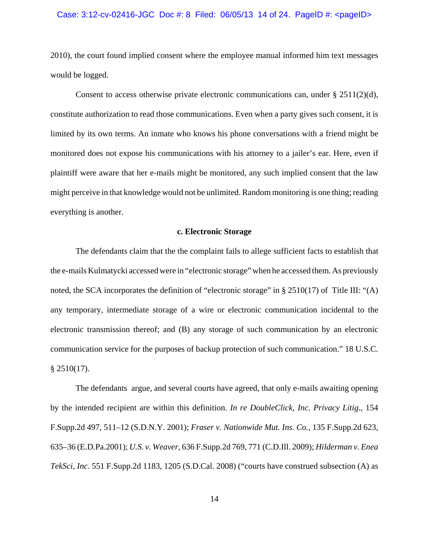#### Case: 3:12-cv-02416-JGC Doc #: 8 Filed: 06/05/13 14 of 24. PageID #: <pageID>

2010), the court found implied consent where the employee manual informed him text messages would be logged.

Consent to access otherwise private electronic communications can, under  $\S 2511(2)(d)$ , constitute authorization to read those communications. Even when a party gives such consent, it is limited by its own terms. An inmate who knows his phone conversations with a friend might be monitored does not expose his communications with his attorney to a jailer's ear. Here, even if plaintiff were aware that her e-mails might be monitored, any such implied consent that the law might perceive in that knowledge would not be unlimited. Random monitoring is one thing; reading everything is another.

## **c. Electronic Storage**

The defendants claim that the the complaint fails to allege sufficient facts to establish that the e-mails Kulmatycki accessed were in "electronic storage" when he accessed them. As previously noted, the SCA incorporates the definition of "electronic storage" in § 2510(17) of Title III: "(A) any temporary, intermediate storage of a wire or electronic communication incidental to the electronic transmission thereof; and (B) any storage of such communication by an electronic communication service for the purposes of backup protection of such communication." 18 U.S.C.  $§$  2510(17).

The defendants argue, and several courts have agreed, that only e-mails awaiting opening by the intended recipient are within this definition. *In re DoubleClick, Inc. Privacy Litig*., 154 F.Supp.2d 497, 511–12 (S.D.N.Y. 2001); *Fraser v. Nationwide Mut. Ins. Co.*, 135 F.Supp.2d 623, 635–36 (E.D.Pa.2001); *U.S. v. Weaver,* 636 F.Supp.2d 769, 771 (C.D.Ill. 2009); *Hilderman v. Enea TekSci, Inc*. 551 F.Supp.2d 1183, 1205 (S.D.Cal. 2008) ("courts have construed subsection (A) as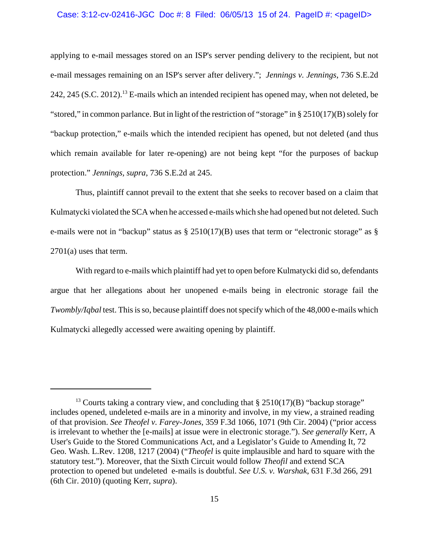#### Case: 3:12-cv-02416-JGC Doc #: 8 Filed: 06/05/13 15 of 24. PageID #: <pageID>

applying to e-mail messages stored on an ISP's server pending delivery to the recipient, but not e-mail messages remaining on an ISP's server after delivery."; *Jennings v. Jennings*, 736 S.E.2d 242, 245 (S.C. 2012).<sup>13</sup> E-mails which an intended recipient has opened may, when not deleted, be "stored," in common parlance. But in light of the restriction of "storage" in § 2510(17)(B) solely for "backup protection," e-mails which the intended recipient has opened, but not deleted (and thus which remain available for later re-opening) are not being kept "for the purposes of backup protection." *Jennings, supra*, 736 S.E.2d at 245.

Thus, plaintiff cannot prevail to the extent that she seeks to recover based on a claim that Kulmatycki violated the SCA when he accessed e-mails which she had opened but not deleted. Such e-mails were not in "backup" status as § 2510(17)(B) uses that term or "electronic storage" as § 2701(a) uses that term.

With regard to e-mails which plaintiff had yet to open before Kulmatycki did so, defendants argue that her allegations about her unopened e-mails being in electronic storage fail the *Twombly/Iqbal* test. This is so, because plaintiff does not specify which of the 48,000 e-mails which Kulmatycki allegedly accessed were awaiting opening by plaintiff.

<sup>&</sup>lt;sup>13</sup> Courts taking a contrary view, and concluding that  $\S 2510(17)(B)$  "backup storage" includes opened, undeleted e-mails are in a minority and involve, in my view, a strained reading of that provision. *See Theofel v. Farey-Jones*, 359 F.3d 1066, 1071 (9th Cir. 2004) ("prior access is irrelevant to whether the [e-mails] at issue were in electronic storage."). *See generally* Kerr, A User's Guide to the Stored Communications Act, and a Legislator's Guide to Amending It, 72 Geo. Wash. L.Rev. 1208, 1217 (2004) ("*Theofel* is quite implausible and hard to square with the statutory test."). Moreover, that the Sixth Circuit would follow *Theofil* and extend SCA protection to opened but undeleted e-mails is doubtful. *See U.S. v. Warshak*, 631 F.3d 266, 291 (6th Cir. 2010) (quoting Kerr, *supra*).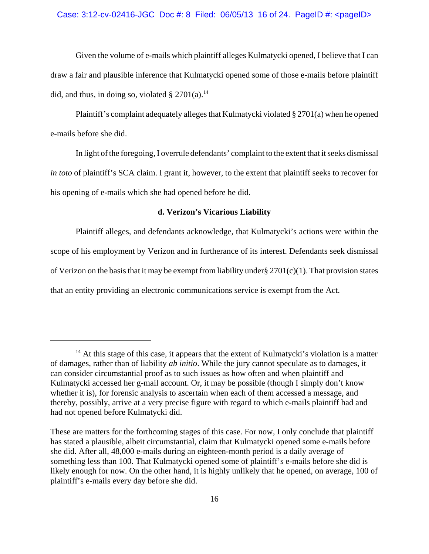### Case: 3:12-cv-02416-JGC Doc #: 8 Filed: 06/05/13 16 of 24. PageID #: <pageID>

Given the volume of e-mails which plaintiff alleges Kulmatycki opened, I believe that I can draw a fair and plausible inference that Kulmatycki opened some of those e-mails before plaintiff did, and thus, in doing so, violated  $\S 2701(a)$ .<sup>14</sup>

Plaintiff's complaint adequately alleges that Kulmatycki violated § 2701(a) when he opened e-mails before she did.

In light of the foregoing, I overrule defendants' complaint to the extent that it seeks dismissal *in toto* of plaintiff's SCA claim. I grant it, however, to the extent that plaintiff seeks to recover for his opening of e-mails which she had opened before he did.

### **d. Verizon's Vicarious Liability**

Plaintiff alleges, and defendants acknowledge, that Kulmatycki's actions were within the scope of his employment by Verizon and in furtherance of its interest. Defendants seek dismissal of Verizon on the basis that it may be exempt from liability under§ 2701(c)(1). That provision states that an entity providing an electronic communications service is exempt from the Act.

 $14$  At this stage of this case, it appears that the extent of Kulmatycki's violation is a matter of damages, rather than of liability *ab initio*. While the jury cannot speculate as to damages, it can consider circumstantial proof as to such issues as how often and when plaintiff and Kulmatycki accessed her g-mail account. Or, it may be possible (though I simply don't know whether it is), for forensic analysis to ascertain when each of them accessed a message, and thereby, possibly, arrive at a very precise figure with regard to which e-mails plaintiff had and had not opened before Kulmatycki did.

These are matters for the forthcoming stages of this case. For now, I only conclude that plaintiff has stated a plausible, albeit circumstantial, claim that Kulmatycki opened some e-mails before she did. After all, 48,000 e-mails during an eighteen-month period is a daily average of something less than 100. That Kulmatycki opened some of plaintiff's e-mails before she did is likely enough for now. On the other hand, it is highly unlikely that he opened, on average, 100 of plaintiff's e-mails every day before she did.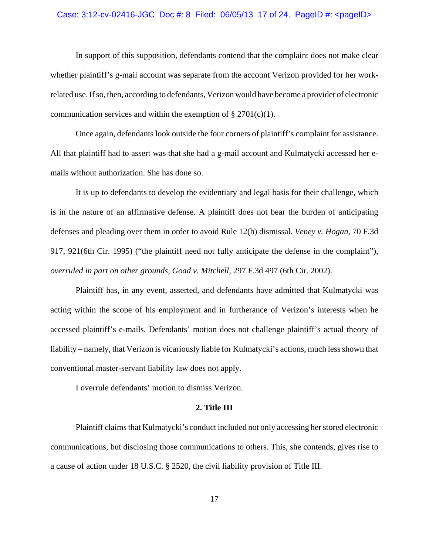# Case: 3:12-cv-02416-JGC Doc #: 8 Filed: 06/05/13 17 of 24. PageID #: <pageID>

In support of this supposition, defendants contend that the complaint does not make clear whether plaintiff's g-mail account was separate from the account Verizon provided for her workrelated use. If so, then, according to defendants, Verizon would have become a provider of electronic communication services and within the exemption of  $\S 2701(c)(1)$ .

Once again, defendants look outside the four corners of plaintiff's complaint for assistance. All that plaintiff had to assert was that she had a g-mail account and Kulmatycki accessed her emails without authorization. She has done so.

It is up to defendants to develop the evidentiary and legal basis for their challenge, which is in the nature of an affirmative defense. A plaintiff does not bear the burden of anticipating defenses and pleading over them in order to avoid Rule 12(b) dismissal. *Veney v. Hogan*, 70 F.3d 917, 921(6th Cir. 1995) ("the plaintiff need not fully anticipate the defense in the complaint"), *overruled in part on other grounds*, *Goad v. Mitchell*, 297 F.3d 497 (6th Cir. 2002).

Plaintiff has, in any event, asserted, and defendants have admitted that Kulmatycki was acting within the scope of his employment and in furtherance of Verizon's interests when he accessed plaintiff's e-mails. Defendants' motion does not challenge plaintiff's actual theory of liability – namely, that Verizon is vicariously liable for Kulmatycki's actions, much less shown that conventional master-servant liability law does not apply.

I overrule defendants' motion to dismiss Verizon.

## **2. Title III**

Plaintiff claims that Kulmatycki's conduct included not only accessing her stored electronic communications, but disclosing those communications to others. This, she contends, gives rise to a cause of action under 18 U.S.C. § 2520, the civil liability provision of Title III.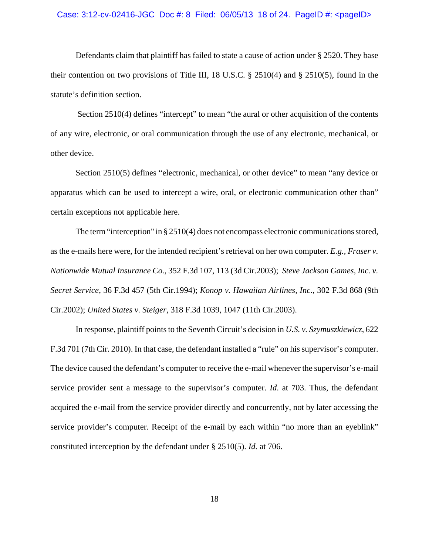#### Case: 3:12-cv-02416-JGC Doc #: 8 Filed: 06/05/13 18 of 24. PageID #: <pageID>

Defendants claim that plaintiff has failed to state a cause of action under § 2520. They base their contention on two provisions of Title III, 18 U.S.C. § 2510(4) and § 2510(5), found in the statute's definition section.

Section 2510(4) defines "intercept" to mean "the aural or other acquisition of the contents of any wire, electronic, or oral communication through the use of any electronic, mechanical, or other device.

Section 2510(5) defines "electronic, mechanical, or other device" to mean "any device or apparatus which can be used to intercept a wire, oral, or electronic communication other than" certain exceptions not applicable here.

The term "interception" in § 2510(4) does not encompass electronic communications stored, as the e-mails here were, for the intended recipient's retrieval on her own computer. *E.g., Fraser v. Nationwide Mutual Insurance Co.*, 352 F.3d 107, 113 (3d Cir.2003); *Steve Jackson Games, Inc. v. Secret Service*, 36 F.3d 457 (5th Cir.1994); *Konop v. Hawaiian Airlines, Inc*., 302 F.3d 868 (9th Cir.2002); *United States v. Steiger*, 318 F.3d 1039, 1047 (11th Cir.2003).

In response, plaintiff points to the Seventh Circuit's decision in *U.S. v. Szymuszkiewicz*, 622 F.3d 701 (7th Cir. 2010). In that case, the defendant installed a "rule" on his supervisor's computer. The device caused the defendant's computer to receive the e-mail whenever the supervisor's e-mail service provider sent a message to the supervisor's computer. *Id*. at 703. Thus, the defendant acquired the e-mail from the service provider directly and concurrently, not by later accessing the service provider's computer. Receipt of the e-mail by each within "no more than an eyeblink" constituted interception by the defendant under § 2510(5). *Id.* at 706.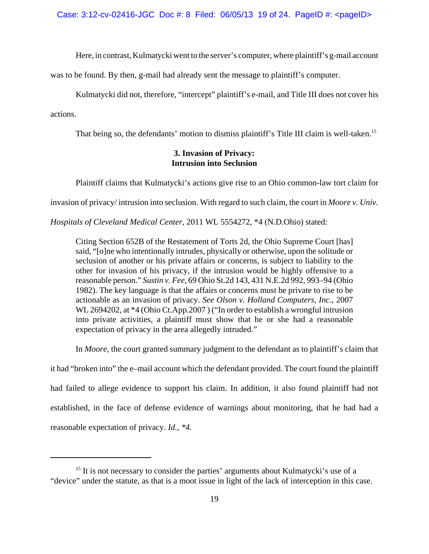Here, in contrast, Kulmatycki went to the server's computer, where plaintiff's g-mail account

was to be found. By then, g-mail had already sent the message to plaintiff's computer.

Kulmatycki did not, therefore, "intercept" plaintiff's e-mail, and Title III does not cover his actions.

That being so, the defendants' motion to dismiss plaintiff's Title III claim is well-taken.<sup>15</sup>

# **3. Invasion of Privacy: Intrusion into Seclusion**

Plaintiff claims that Kulmatycki's actions give rise to an Ohio common-law tort claim for

invasion of privacy/ intrusion into seclusion. With regard to such claim, the court in *Moore v. Univ.*

*Hospitals of Cleveland Medical Center*, 2011 WL 5554272, \*4 (N.D.Ohio) stated:

Citing Section 652B of the Restatement of Torts 2d, the Ohio Supreme Court [has] said, "[o]ne who intentionally intrudes, physically or otherwise, upon the solitude or seclusion of another or his private affairs or concerns, is subject to liability to the other for invasion of his privacy, if the intrusion would be highly offensive to a reasonable person." *Sustin v. Fee*, 69 Ohio St.2d 143, 431 N.E.2d 992, 993–94 (Ohio 1982). The key language is that the affairs or concerns must be private to rise to be actionable as an invasion of privacy. *See Olson v. Holland Computers, Inc*., 2007 WL 2694202, at  $*4$  (Ohio Ct.App.2007) ("In order to establish a wrongful intrusion into private activities, a plaintiff must show that he or she had a reasonable expectation of privacy in the area allegedly intruded."

In *Moore*, the court granted summary judgment to the defendant as to plaintiff's claim that

it had "broken into" the e–mail account which the defendant provided. The court found the plaintiff had failed to allege evidence to support his claim. In addition, it also found plaintiff had not established, in the face of defense evidence of warnings about monitoring, that he had had a reasonable expectation of privacy. *Id., \*4.*

 $15$  It is not necessary to consider the parties' arguments about Kulmatycki's use of a "device" under the statute, as that is a moot issue in light of the lack of interception in this case.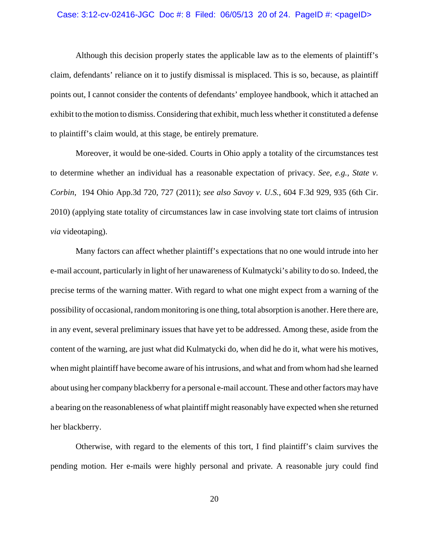#### Case: 3:12-cv-02416-JGC Doc #: 8 Filed: 06/05/13 20 of 24. PageID #: <pageID>

Although this decision properly states the applicable law as to the elements of plaintiff's claim, defendants' reliance on it to justify dismissal is misplaced. This is so, because, as plaintiff points out, I cannot consider the contents of defendants' employee handbook, which it attached an exhibit to the motion to dismiss. Considering that exhibit, much less whether it constituted a defense to plaintiff's claim would, at this stage, be entirely premature.

Moreover, it would be one-sided. Courts in Ohio apply a totality of the circumstances test to determine whether an individual has a reasonable expectation of privacy. *See, e.g., State v. Corbin*, 194 Ohio App.3d 720, 727 (2011); *see also Savoy v. U.S.*, 604 F.3d 929, 935 (6th Cir. 2010) (applying state totality of circumstances law in case involving state tort claims of intrusion *via* videotaping).

Many factors can affect whether plaintiff's expectations that no one would intrude into her e-mail account, particularly in light of her unawareness of Kulmatycki's ability to do so. Indeed, the precise terms of the warning matter. With regard to what one might expect from a warning of the possibility of occasional, random monitoring is one thing, total absorption is another. Here there are, in any event, several preliminary issues that have yet to be addressed. Among these, aside from the content of the warning, are just what did Kulmatycki do, when did he do it, what were his motives, when might plaintiff have become aware of his intrusions, and what and from whom had she learned about using her company blackberry for a personal e-mail account. These and other factors may have a bearing on the reasonableness of what plaintiff might reasonably have expected when she returned her blackberry.

Otherwise, with regard to the elements of this tort, I find plaintiff's claim survives the pending motion. Her e-mails were highly personal and private. A reasonable jury could find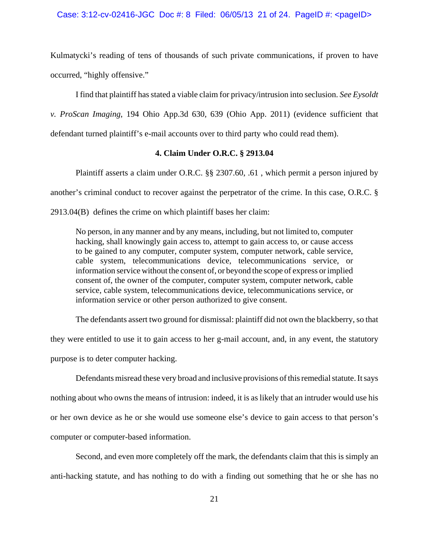#### Case: 3:12-cv-02416-JGC Doc #: 8 Filed: 06/05/13 21 of 24. PageID #: <pageID>

Kulmatycki's reading of tens of thousands of such private communications, if proven to have occurred, "highly offensive."

I find that plaintiff has stated a viable claim for privacy/intrusion into seclusion. *See Eysoldt v. ProScan Imaging*, 194 Ohio App.3d 630, 639 (Ohio App. 2011) (evidence sufficient that

defendant turned plaintiff's e-mail accounts over to third party who could read them).

# **4. Claim Under O.R.C. § 2913.04**

Plaintiff asserts a claim under O.R.C. §§ 2307.60, .61 , which permit a person injured by another's criminal conduct to recover against the perpetrator of the crime. In this case, O.R.C. § 2913.04(B) defines the crime on which plaintiff bases her claim:

No person, in any manner and by any means, including, but not limited to, computer hacking, shall knowingly gain access to, attempt to gain access to, or cause access to be gained to any computer, computer system, computer network, cable service, cable system, telecommunications device, telecommunications service, or information service without the consent of, or beyond the scope of express or implied consent of, the owner of the computer, computer system, computer network, cable service, cable system, telecommunications device, telecommunications service, or information service or other person authorized to give consent.

The defendants assert two ground for dismissal: plaintiff did not own the blackberry, so that

they were entitled to use it to gain access to her g-mail account, and, in any event, the statutory purpose is to deter computer hacking.

Defendants misread these very broad and inclusive provisions of this remedial statute. It says nothing about who owns the means of intrusion: indeed, it is as likely that an intruder would use his or her own device as he or she would use someone else's device to gain access to that person's computer or computer-based information.

Second, and even more completely off the mark, the defendants claim that this is simply an anti-hacking statute, and has nothing to do with a finding out something that he or she has no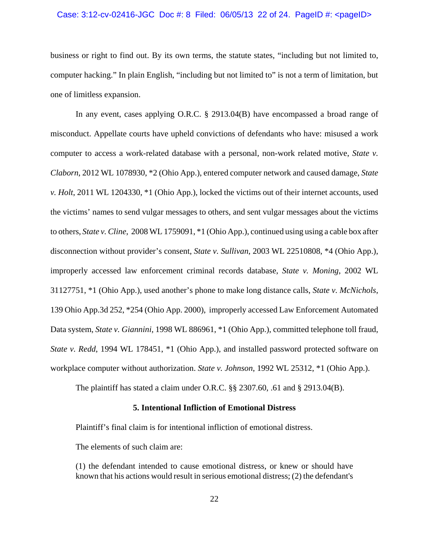#### Case:  $3:12$ -cv-02416-JGC Doc #: 8 Filed: 06/05/13 22 of 24. PageID #: <pageID>

business or right to find out. By its own terms, the statute states, "including but not limited to, computer hacking." In plain English, "including but not limited to" is not a term of limitation, but one of limitless expansion.

In any event, cases applying O.R.C. § 2913.04(B) have encompassed a broad range of misconduct. Appellate courts have upheld convictions of defendants who have: misused a work computer to access a work-related database with a personal, non-work related motive, *State v. Claborn*, 2012 WL 1078930, \*2 (Ohio App.), entered computer network and caused damage, *State v. Holt*, 2011 WL 1204330, \*1 (Ohio App.), locked the victims out of their internet accounts, used the victims' names to send vulgar messages to others, and sent vulgar messages about the victims to others, *State v. Cline*, 2008 WL 1759091, \*1 (Ohio App.), continued using using a cable box after disconnection without provider's consent, *State v. Sullivan*, 2003 WL 22510808, \*4 (Ohio App.), improperly accessed law enforcement criminal records database, *State v. Moning*, 2002 WL 31127751, \*1 (Ohio App.), used another's phone to make long distance calls, *State v. McNichols*, 139 Ohio App.3d 252, \*254 (Ohio App. 2000), improperly accessed Law Enforcement Automated Data system, *State v. Giannini*, 1998 WL 886961, \*1 (Ohio App.), committed telephone toll fraud, *State v. Redd*, 1994 WL 178451, \*1 (Ohio App.), and installed password protected software on workplace computer without authorization. *State v. Johnson*, 1992 WL 25312, \*1 (Ohio App.).

The plaintiff has stated a claim under O.R.C.  $\S\S 2307.60$ , .61 and  $\S 2913.04(B)$ .

### **5. Intentional Infliction of Emotional Distress**

Plaintiff's final claim is for intentional infliction of emotional distress.

The elements of such claim are:

(1) the defendant intended to cause emotional distress, or knew or should have known that his actions would result in serious emotional distress; (2) the defendant's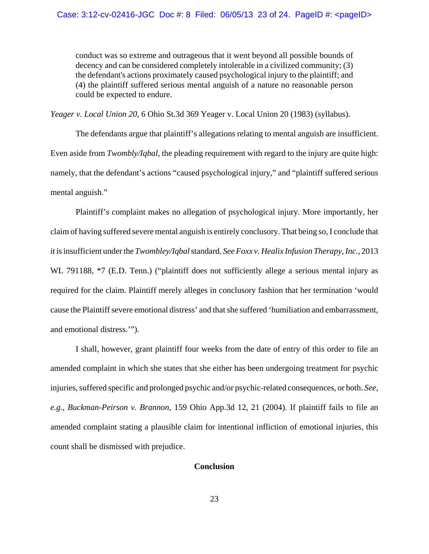conduct was so extreme and outrageous that it went beyond all possible bounds of decency and can be considered completely intolerable in a civilized community; (3) the defendant's actions proximately caused psychological injury to the plaintiff; and (4) the plaintiff suffered serious mental anguish of a nature no reasonable person could be expected to endure.

*Yeager v. Local Union 20,* 6 Ohio St.3d 369 Yeager v. Local Union 20 (1983) (syllabus).

The defendants argue that plaintiff's allegations relating to mental anguish are insufficient. Even aside from *Twombly/Iqbal*, the pleading requirement with regard to the injury are quite high: namely, that the defendant's actions "caused psychological injury," and "plaintiff suffered serious mental anguish."

Plaintiff's complaint makes no allegation of psychological injury. More importantly, her claim of having suffered severe mental anguish is entirely conclusory. That being so, I conclude that it is insufficient under the *Twombley/Iqbal* standard. *See Foxx v. Healix Infusion Therapy, Inc.,* 2013 WL 791188,  $*7$  (E.D. Tenn.) ("plaintiff does not sufficiently allege a serious mental injury as required for the claim. Plaintiff merely alleges in conclusory fashion that her termination 'would cause the Plaintiff severe emotional distress' and that she suffered 'humiliation and embarrassment, and emotional distress.'").

I shall, however, grant plaintiff four weeks from the date of entry of this order to file an amended complaint in which she states that she either has been undergoing treatment for psychic injuries, suffered specific and prolonged psychic and/or psychic-related consequences, or both. *See, e.g., Buckman-Peirson v. Brannon*, 159 Ohio App.3d 12, 21 (2004). If plaintiff fails to file an amended complaint stating a plausible claim for intentional infliction of emotional injuries, this count shall be dismissed with prejudice.

# **Conclusion**